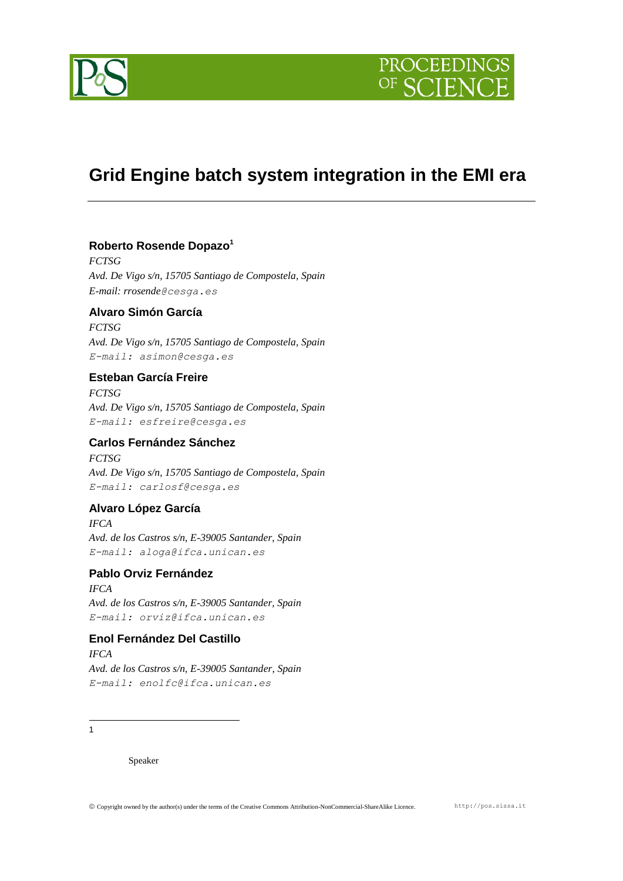

## **Grid Engine batch system integration in the EMI era**

## **Roberto Rosende Dopazo<sup>1</sup>**

*FCTSG Avd. De Vigo s/n, 15705 Santiago de Compostela, Spain E-mail: rrosende@cesga.es*

## **Alvaro Simón García**

*FCTSG Avd. De Vigo s/n, 15705 Santiago de Compostela, Spain E-mail: asimon@cesga.es*

## **Esteban García Freire**

*FCTSG Avd. De Vigo s/n, 15705 Santiago de Compostela, Spain E-mail: esfreire@cesga.es*

## **Carlos Fernández Sánchez**

*FCTSG Avd. De Vigo s/n, 15705 Santiago de Compostela, Spain E-mail: carlosf@cesga.es*

## **Alvaro López García**

*IFCA Avd. de los Castros s/n, E-39005 Santander, Spain E-mail: aloga@ifca.unican.es*

## **Pablo Orviz Fernández**

*IFCA Avd. de los Castros s/n, E-39005 Santander, Spain E-mail: orviz@ifca.unican.es*

## **Enol Fernández Del Castillo** *IFCA*

*Avd. de los Castros s/n, E-39005 Santander, Spain E-mail: enolfc@ifca.unican.es*

 $\frac{1}{1}$ 

Speaker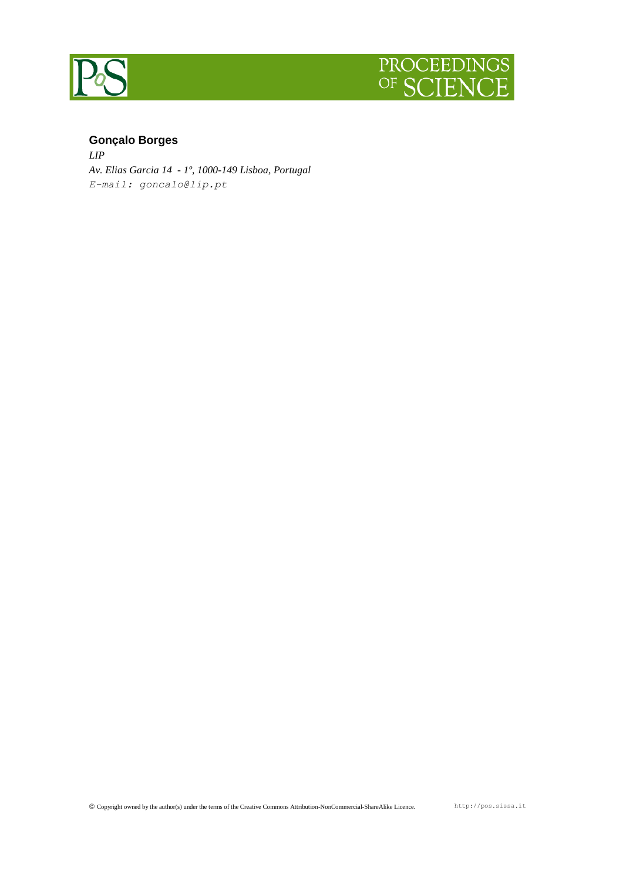



## **Gonçalo Borges**

*LIP Av. Elias Garcia 14 - 1º, 1000-149 Lisboa, Portugal E-mail: goncalo@lip.pt*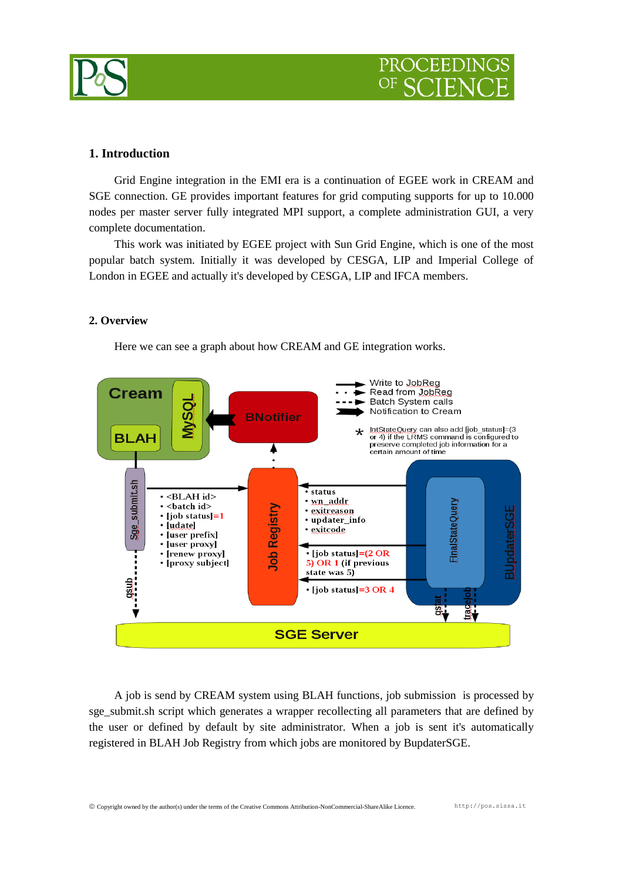

# PROCEEDIN

## **1. Introduction**

Grid Engine integration in the EMI era is a continuation of EGEE work in CREAM and SGE connection. GE provides important features for grid computing supports for up to 10.000 nodes per master server fully integrated MPI support, a complete administration GUI, a very complete documentation.

This work was initiated by EGEE project with Sun Grid Engine, which is one of the most popular batch system. Initially it was developed by CESGA, LIP and Imperial College of London in EGEE and actually it's developed by CESGA, LIP and IFCA members.

## **2. Overview**

Here we can see a graph about how CREAM and GE integration works.



A job is send by CREAM system using BLAH functions, job submission is processed by sge\_submit.sh script which generates a wrapper recollecting all parameters that are defined by the user or defined by default by site administrator. When a job is sent it's automatically registered in BLAH Job Registry from which jobs are monitored by BupdaterSGE.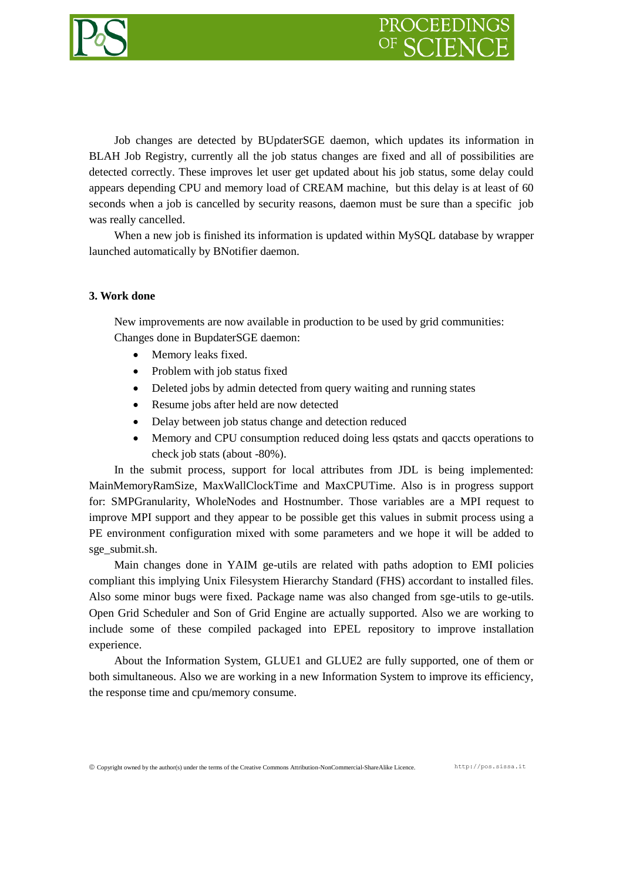

Job changes are detected by BUpdaterSGE daemon, which updates its information in BLAH Job Registry, currently all the job status changes are fixed and all of possibilities are detected correctly. These improves let user get updated about his job status, some delay could appears depending CPU and memory load of CREAM machine, but this delay is at least of 60 seconds when a job is cancelled by security reasons, daemon must be sure than a specific job was really cancelled.

When a new job is finished its information is updated within MySOL database by wrapper launched automatically by BNotifier daemon.

## **3. Work done**

New improvements are now available in production to be used by grid communities: Changes done in BupdaterSGE daemon:

- Memory leaks fixed.
- Problem with job status fixed
- Deleted jobs by admin detected from query waiting and running states
- Resume jobs after held are now detected
- Delay between job status change and detection reduced
- Memory and CPU consumption reduced doing less qstats and qaccts operations to check job stats (about -80%).

In the submit process, support for local attributes from JDL is being implemented: MainMemoryRamSize, MaxWallClockTime and MaxCPUTime. Also is in progress support for: SMPGranularity, WholeNodes and Hostnumber. Those variables are a MPI request to improve MPI support and they appear to be possible get this values in submit process using a PE environment configuration mixed with some parameters and we hope it will be added to sge\_submit.sh.

Main changes done in YAIM ge-utils are related with paths adoption to EMI policies compliant this implying Unix Filesystem Hierarchy Standard (FHS) accordant to installed files. Also some minor bugs were fixed. Package name was also changed from sge-utils to ge-utils. Open Grid Scheduler and Son of Grid Engine are actually supported. Also we are working to include some of these compiled packaged into EPEL repository to improve installation experience.

About the Information System, GLUE1 and GLUE2 are fully supported, one of them or both simultaneous. Also we are working in a new Information System to improve its efficiency, the response time and cpu/memory consume.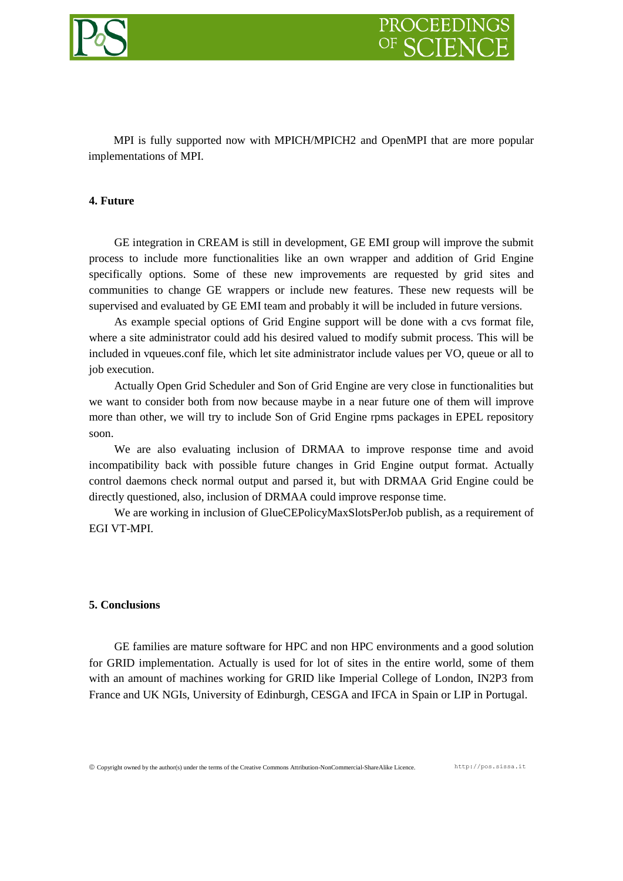

MPI is fully supported now with MPICH/MPICH2 and OpenMPI that are more popular implementations of MPI.

## **4. Future**

GE integration in CREAM is still in development, GE EMI group will improve the submit process to include more functionalities like an own wrapper and addition of Grid Engine specifically options. Some of these new improvements are requested by grid sites and communities to change GE wrappers or include new features. These new requests will be supervised and evaluated by GE EMI team and probably it will be included in future versions.

As example special options of Grid Engine support will be done with a cvs format file, where a site administrator could add his desired valued to modify submit process. This will be included in vqueues.conf file, which let site administrator include values per VO, queue or all to job execution.

Actually Open Grid Scheduler and Son of Grid Engine are very close in functionalities but we want to consider both from now because maybe in a near future one of them will improve more than other, we will try to include Son of Grid Engine rpms packages in EPEL repository soon.

We are also evaluating inclusion of DRMAA to improve response time and avoid incompatibility back with possible future changes in Grid Engine output format. Actually control daemons check normal output and parsed it, but with DRMAA Grid Engine could be directly questioned, also, inclusion of DRMAA could improve response time.

We are working in inclusion of GlueCEPolicyMaxSlotsPerJob publish, as a requirement of EGI VT-MPI.

#### **5. Conclusions**

GE families are mature software for HPC and non HPC environments and a good solution for GRID implementation. Actually is used for lot of sites in the entire world, some of them with an amount of machines working for GRID like Imperial College of London, IN2P3 from France and UK NGIs, University of Edinburgh, CESGA and IFCA in Spain or LIP in Portugal.